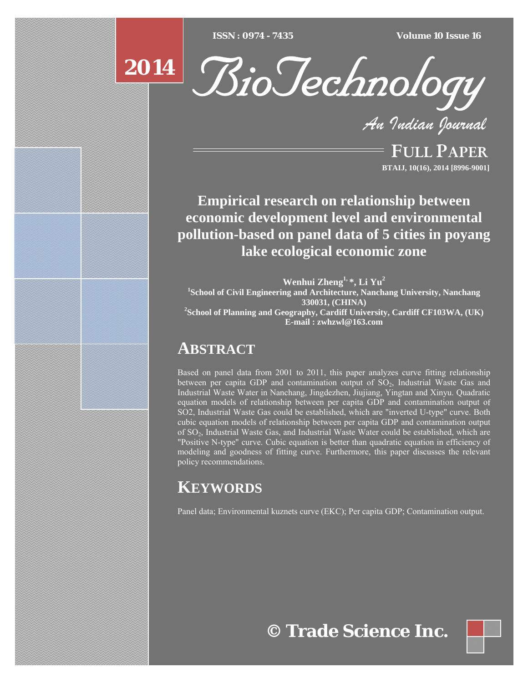$ISSN : 0974 - 7435$ 

*ISSN : 0974 - 7435 Volume 10 Issue 16*



*An Indian Journal*

FULL PAPER **BTAIJ, 10(16), 2014 [8996-9001]**

**Empirical research on relationship between economic development level and environmental pollution-based on panel data of 5 cities in poyang lake ecological economic zone** 

**Wenhui Zheng1, \*, Li Yu2 1 School of Civil Engineering and Architecture, Nanchang University, Nanchang 330031, (CHINA) 2 School of Planning and Geography, Cardiff University, Cardiff CF103WA, (UK) E-mail : zwhzwl@163.com**

# **ABSTRACT**

Based on panel data from 2001 to 2011, this paper analyzes curve fitting relationship between per capita GDP and contamination output of  $SO<sub>2</sub>$ , Industrial Waste Gas and Industrial Waste Water in Nanchang, Jingdezhen, Jiujiang, Yingtan and Xinyu. Quadratic equation models of relationship between per capita GDP and contamination output of SO2, Industrial Waste Gas could be established, which are "inverted U-type" curve. Both cubic equation models of relationship between per capita GDP and contamination output of SO2, Industrial Waste Gas, and Industrial Waste Water could be established, which are "Positive N-type" curve. Cubic equation is better than quadratic equation in efficiency of modeling and goodness of fitting curve. Furthermore, this paper discusses the relevant policy recommendations.

# **KEYWORDS**

Panel data; Environmental kuznets curve (EKC); Per capita GDP; Contamination output.

**© Trade Science Inc.**

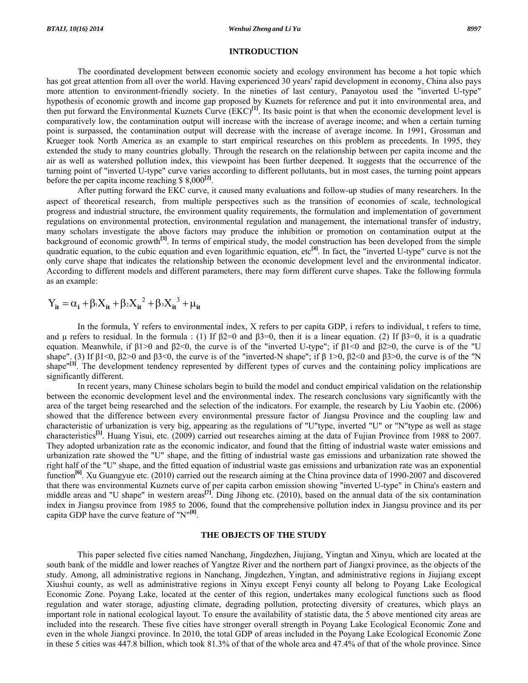#### **INTRODUCTION**

 The coordinated development between economic society and ecology environment has become a hot topic which has got great attention from all over the world. Having experienced 30 years' rapid development in economy, China also pays more attention to environment-friendly society. In the nineties of last century, Panayotou used the "inverted U-type" hypothesis of economic growth and income gap proposed by Kuznets for reference and put it into environmental area, and then put forward the Environmental Kuznets Curve (EKC)**[1]**. Its basic point is that when the economic development level is comparatively low, the contamination output will increase with the increase of average income; and when a certain turning point is surpassed, the contamination output will decrease with the increase of average income. In 1991, Grossman and Krueger took North America as an example to start empirical researches on this problem as precedents. In 1995, they extended the study to many countries globally. Through the research on the relationship between per capita income and the air as well as watershed pollution index, this viewpoint has been further deepened. It suggests that the occurrence of the turning point of "inverted U-type" curve varies according to different pollutants, but in most cases, the turning point appears before the per capita income reaching \$ 8,000**[2]**.

 After putting forward the EKC curve, it caused many evaluations and follow-up studies of many researchers. In the aspect of theoretical research, from multiple perspectives such as the transition of economies of scale, technological progress and industrial structure, the environment quality requirements, the formulation and implementation of government regulations on environmental protection, environmental regulation and management, the international transfer of industry, many scholars investigate the above factors may produce the inhibition or promotion on contamination output at the background of economic growth**[3]**. In terms of empirical study, the model construction has been developed from the simple quadratic equation, to the cubic equation and even logarithmic equation, etc<sup>[4]</sup>. In fact, the "inverted U-type" curve is not the only curve shape that indicates the relationship between the economic development level and the environmental indicator. According to different models and different parameters, there may form different curve shapes. Take the following formula as an example:

$$
Y_{it} = \alpha_i + \beta_i X_{it} + \beta_2 X_{it}^2 + \beta_3 X_{it}^3 + \mu_{it}
$$

 In the formula, Y refers to environmental index, X refers to per capita GDP, i refers to individual, t refers to time, and μ refers to residual. In the formula : (1) If  $\beta$ 2=0 and  $\beta$ 3=0, then it is a linear equation. (2) If  $\beta$ 3=0, it is a quadratic equation. Meanwhile, if  $β1>0$  and  $β2<0$ , the curve is of the "inverted U-type"; if  $β1<0$  and  $β2>0$ , the curve is of the "U shape". (3) If  $\beta$ 1<0,  $\beta$ 2>0 and  $\beta$ 3<0, the curve is of the "inverted-N shape"; if  $\beta$  1>0,  $\beta$ 2<0 and  $\beta$ 3>0, the curve is of the "N shape<sup>"[3]</sup>. The development tendency represented by different types of curves and the containing policy implications are significantly different.

 In recent years, many Chinese scholars begin to build the model and conduct empirical validation on the relationship between the economic development level and the environmental index. The research conclusions vary significantly with the area of the target being researched and the selection of the indicators. For example, the research by Liu Yaobin etc. (2006) showed that the difference between every environmental pressure factor of Jiangsu Province and the coupling law and characteristic of urbanization is very big, appearing as the regulations of "U"type, inverted "U" or "N"type as well as stage characteristics**[5]**. Huang Yisui, etc. (2009) carried out researches aiming at the data of Fujian Province from 1988 to 2007. They adopted urbanization rate as the economic indicator, and found that the fitting of industrial waste water emissions and urbanization rate showed the "U" shape, and the fitting of industrial waste gas emissions and urbanization rate showed the right half of the "U" shape, and the fitted equation of industrial waste gas emissions and urbanization rate was an exponential function<sup>[6]</sup>. Xu Guangyue etc. (2010) carried out the research aiming at the China province data of 1990-2007 and discovered that there was environmental Kuznets curve of per capita carbon emission showing "inverted U-type" in China's eastern and middle areas and "U shape" in western areas**[7]**. Ding Jihong etc. (2010), based on the annual data of the six contamination index in Jiangsu province from 1985 to 2006, found that the comprehensive pollution index in Jiangsu province and its per capita GDP have the curve feature of "N"**[8]**.

### **THE OBJECTS OF THE STUDY**

 This paper selected five cities named Nanchang, Jingdezhen, Jiujiang, Yingtan and Xinyu, which are located at the south bank of the middle and lower reaches of Yangtze River and the northern part of Jiangxi province, as the objects of the study. Among, all administrative regions in Nanchang, Jingdezhen, Yingtan, and administrative regions in Jiujiang except Xiushui county, as well as administrative regions in Xinyu except Fenyi county all belong to Poyang Lake Ecological Economic Zone. Poyang Lake, located at the center of this region, undertakes many ecological functions such as flood regulation and water storage, adjusting climate, degrading pollution, protecting diversity of creatures, which plays an important role in national ecological layout. To ensure the availability of statistic data, the 5 above mentioned city areas are included into the research. These five cities have stronger overall strength in Poyang Lake Ecological Economic Zone and even in the whole Jiangxi province. In 2010, the total GDP of areas included in the Poyang Lake Ecological Economic Zone in these 5 cities was 447.8 billion, which took 81.3% of that of the whole area and 47.4% of that of the whole province. Since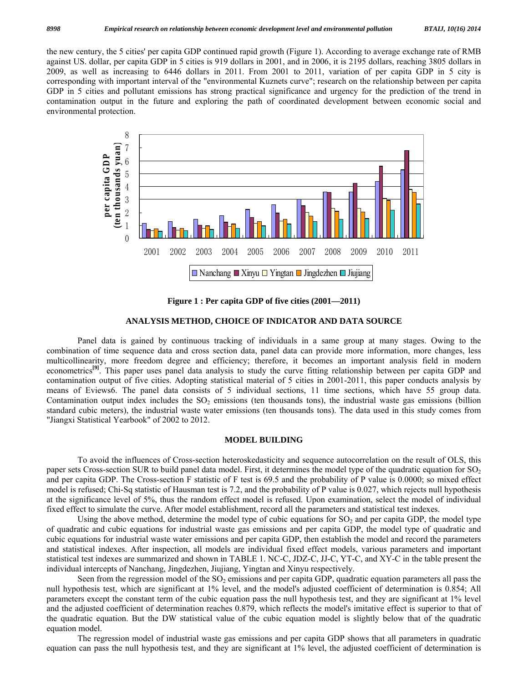the new century, the 5 cities' per capita GDP continued rapid growth (Figure 1). According to average exchange rate of RMB against US. dollar, per capita GDP in 5 cities is 919 dollars in 2001, and in 2006, it is 2195 dollars, reaching 3805 dollars in 2009, as well as increasing to 6446 dollars in 2011. From 2001 to 2011, variation of per capita GDP in 5 city is corresponding with important interval of the "environmental Kuznets curve"; research on the relationship between per capita GDP in 5 cities and pollutant emissions has strong practical significance and urgency for the prediction of the trend in contamination output in the future and exploring the path of coordinated development between economic social and environmental protection.



**Figure 1 : Per capita GDP of five cities (2001—2011)** 

## **ANALYSIS METHOD, CHOICE OF INDICATOR AND DATA SOURCE**

 Panel data is gained by continuous tracking of individuals in a same group at many stages. Owing to the combination of time sequence data and cross section data, panel data can provide more information, more changes, less multicollinearity, more freedom degree and efficiency; therefore, it becomes an important analysis field in modern econometrics**[9]**. This paper uses panel data analysis to study the curve fitting relationship between per capita GDP and contamination output of five cities. Adopting statistical material of 5 cities in 2001-2011, this paper conducts analysis by means of Eviews6. The panel data consists of 5 individual sections, 11 time sections, which have 55 group data. Contamination output index includes the  $SO<sub>2</sub>$  emissions (ten thousands tons), the industrial waste gas emissions (billion standard cubic meters), the industrial waste water emissions (ten thousands tons). The data used in this study comes from "Jiangxi Statistical Yearbook" of 2002 to 2012.

## **MODEL BUILDING**

 To avoid the influences of Cross-section heteroskedasticity and sequence autocorrelation on the result of OLS, this paper sets Cross-section SUR to build panel data model. First, it determines the model type of the quadratic equation for  $SO_2$ and per capita GDP. The Cross-section F statistic of F test is 69.5 and the probability of P value is 0.0000; so mixed effect model is refused; Chi-Sq statistic of Hausman test is 7.2, and the probability of P value is 0.027, which rejects null hypothesis at the significance level of 5%, thus the random effect model is refused. Upon examination, select the model of individual fixed effect to simulate the curve. After model establishment, record all the parameters and statistical test indexes.

Using the above method, determine the model type of cubic equations for  $SO<sub>2</sub>$  and per capita GDP, the model type of quadratic and cubic equations for industrial waste gas emissions and per capita GDP, the model type of quadratic and cubic equations for industrial waste water emissions and per capita GDP, then establish the model and record the parameters and statistical indexes. After inspection, all models are individual fixed effect models, various parameters and important statistical test indexes are summarized and shown in TABLE 1. NC-C, JDZ-C, JJ-C, YT-C, and XY-C in the table present the individual intercepts of Nanchang, Jingdezhen, Jiujiang, Yingtan and Xinyu respectively.

Seen from the regression model of the  $SO_2$  emissions and per capita GDP, quadratic equation parameters all pass the null hypothesis test, which are significant at 1% level, and the model's adjusted coefficient of determination is 0.854; All parameters except the constant term of the cubic equation pass the null hypothesis test, and they are significant at 1% level and the adjusted coefficient of determination reaches 0.879, which reflects the model's imitative effect is superior to that of the quadratic equation. But the DW statistical value of the cubic equation model is slightly below that of the quadratic equation model.

 The regression model of industrial waste gas emissions and per capita GDP shows that all parameters in quadratic equation can pass the null hypothesis test, and they are significant at 1% level, the adjusted coefficient of determination is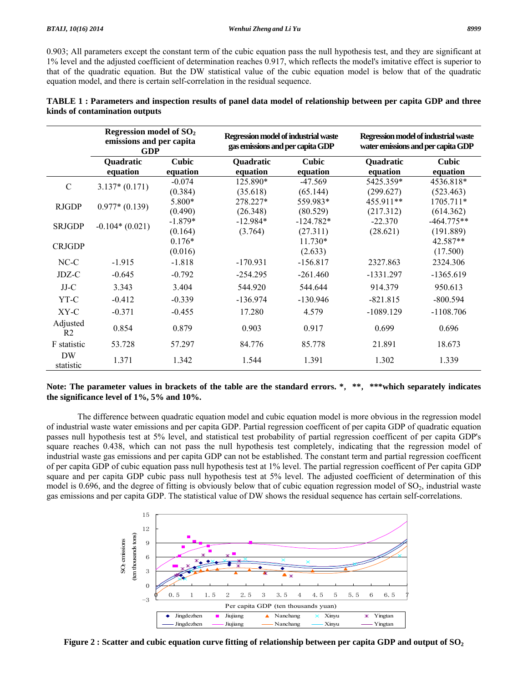0.903; All parameters except the constant term of the cubic equation pass the null hypothesis test, and they are significant at 1% level and the adjusted coefficient of determination reaches 0.917, which reflects the model's imitative effect is superior to that of the quadratic equation. But the DW statistical value of the cubic equation model is below that of the quadratic equation model, and there is certain self-correlation in the residual sequence.

|                            | Regression model of $SO2$<br>emissions and per capita<br><b>GDP</b> |           | Regression model of industrial waste<br>gas emissions and per capita GDP |             | Regression model of industrial waste<br>water emissions and per capita GDP |              |
|----------------------------|---------------------------------------------------------------------|-----------|--------------------------------------------------------------------------|-------------|----------------------------------------------------------------------------|--------------|
|                            | <b>Quadratic</b>                                                    | Cubic     | <b>Quadratic</b>                                                         | Cubic       | <b>Quadratic</b>                                                           | Cubic        |
|                            | equation                                                            | equation  | equation                                                                 | equation    | equation                                                                   | equation     |
| $\mathsf{C}$               | $3.137*(0.171)$                                                     | $-0.074$  | 125.890*                                                                 | $-47.569$   | 5425.359*                                                                  | 4536.818*    |
|                            |                                                                     | (0.384)   | (35.618)                                                                 | (65.144)    | (299.627)                                                                  | (523.463)    |
| <b>RJGDP</b>               | $0.977*(0.139)$                                                     | 5.800*    | 278.227*                                                                 | 559.983*    | 455.911**                                                                  | 1705.711*    |
|                            |                                                                     | (0.490)   | (26.348)                                                                 | (80.529)    | (217.312)                                                                  | (614.362)    |
| <b>SRJGDP</b>              | $-0.104*(0.021)$                                                    | $-1.879*$ | $-12.984*$                                                               | $-124.782*$ | $-22.370$                                                                  | $-464.775**$ |
|                            |                                                                     | (0.164)   | (3.764)                                                                  | (27.311)    | (28.621)                                                                   | (191.889)    |
| <b>CRJGDP</b>              |                                                                     | $0.176*$  |                                                                          | 11.730*     |                                                                            | 42.587**     |
|                            |                                                                     | (0.016)   |                                                                          | (2.633)     |                                                                            | (17.500)     |
| $NC-C$                     | $-1.915$                                                            | $-1.818$  | $-170.931$                                                               | $-156.817$  | 2327.863                                                                   | 2324.306     |
| JDZ-C                      | $-0.645$                                                            | $-0.792$  | $-254.295$                                                               | $-261.460$  | $-1331.297$                                                                | $-1365.619$  |
| $JJ-C$                     | 3.343                                                               | 3.404     | 544.920                                                                  | 544.644     | 914.379                                                                    | 950.613      |
| YT-C                       | $-0.412$                                                            | $-0.339$  | $-136.974$                                                               | $-130.946$  | $-821.815$                                                                 | $-800.594$   |
| $XY-C$                     | $-0.371$                                                            | $-0.455$  | 17.280                                                                   | 4.579       | $-1089.129$                                                                | $-1108.706$  |
| Adjusted<br>R <sub>2</sub> | 0.854                                                               | 0.879     | 0.903                                                                    | 0.917       | 0.699                                                                      | 0.696        |
| F statistic                | 53.728                                                              | 57.297    | 84.776                                                                   | 85.778      | 21.891                                                                     | 18.673       |
| DW<br>statistic            | 1.371                                                               | 1.342     | 1.544                                                                    | 1.391       | 1.302                                                                      | 1.339        |

| TABLE 1 : Parameters and inspection results of panel data model of relationship between per capita GDP and three |  |  |  |
|------------------------------------------------------------------------------------------------------------------|--|--|--|
| kinds of contamination outputs                                                                                   |  |  |  |

# **Note: The parameter values in brackets of the table are the standard errors. \***,**\*\***,**\*\*\*which separately indicates the significance level of 1%, 5% and 10%.**

 The difference between quadratic equation model and cubic equation model is more obvious in the regression model of industrial waste water emissions and per capita GDP. Partial regression coefficent of per capita GDP of quadratic equation passes null hypothesis test at 5% level, and statistical test probability of partial regression coefficent of per capita GDP's square reaches 0.438, which can not pass the null hypothesis test completely, indicating that the regression model of industrial waste gas emissions and per capita GDP can not be established. The constant term and partial regression coefficent of per capita GDP of cubic equation pass null hypothesis test at 1% level. The partial regression coefficent of Per capita GDP square and per capita GDP cubic pass null hypothesis test at 5% level. The adjusted coefficient of determination of this model is 0.696, and the degree of fitting is obviously below that of cubic equation regression model of  $SO<sub>2</sub>$ , industrial waste gas emissions and per capita GDP. The statistical value of DW shows the residual sequence has certain self-correlations.



Figure 2 : Scatter and cubic equation curve fitting of relationship between per capita GDP and output of SO<sub>2</sub>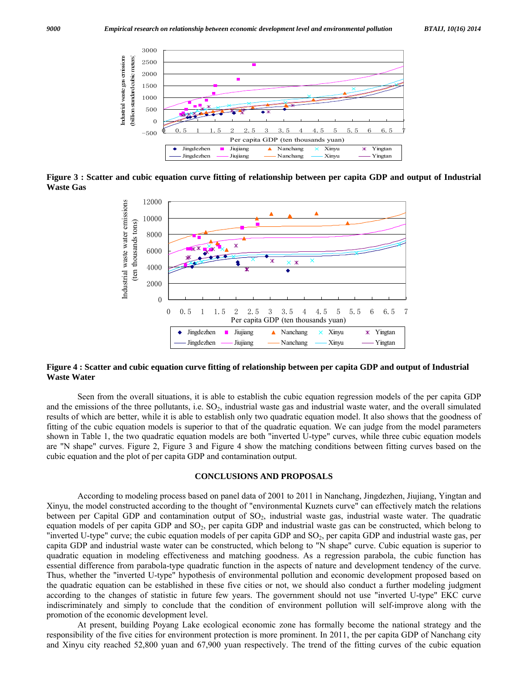

**Figure 3 : Scatter and cubic equation curve fitting of relationship between per capita GDP and output of Industrial Waste Gas** 



## **Figure 4 : Scatter and cubic equation curve fitting of relationship between per capita GDP and output of Industrial Waste Water**

 Seen from the overall situations, it is able to establish the cubic equation regression models of the per capita GDP and the emissions of the three pollutants, i.e.  $SO_2$ , industrial waste gas and industrial waste water, and the overall simulated results of which are better, while it is able to establish only two quadratic equation model. It also shows that the goodness of fitting of the cubic equation models is superior to that of the quadratic equation. We can judge from the model parameters shown in Table 1, the two quadratic equation models are both "inverted U-type" curves, while three cubic equation models are "N shape" curves. Figure 2, Figure 3 and Figure 4 show the matching conditions between fitting curves based on the cubic equation and the plot of per capita GDP and contamination output.

#### **CONCLUSIONS AND PROPOSALS**

 According to modeling process based on panel data of 2001 to 2011 in Nanchang, Jingdezhen, Jiujiang, Yingtan and Xinyu, the model constructed according to the thought of "environmental Kuznets curve" can effectively match the relations between per Capital GDP and contamination output of SO<sub>2</sub>, industrial waste gas, industrial waste water. The quadratic equation models of per capita GDP and  $SO<sub>2</sub>$ , per capita GDP and industrial waste gas can be constructed, which belong to "inverted U-type" curve; the cubic equation models of per capita GDP and  $SO<sub>2</sub>$ , per capita GDP and industrial waste gas, per capita GDP and industrial waste water can be constructed, which belong to "N shape" curve. Cubic equation is superior to quadratic equation in modeling effectiveness and matching goodness. As a regression parabola, the cubic function has essential difference from parabola-type quadratic function in the aspects of nature and development tendency of the curve. Thus, whether the "inverted U-type" hypothesis of environmental pollution and economic development proposed based on the quadratic equation can be established in these five cities or not, we should also conduct a further modeling judgment according to the changes of statistic in future few years. The government should not use "inverted U-type" EKC curve indiscriminately and simply to conclude that the condition of environment pollution will self-improve along with the promotion of the economic development level.

 At present, building Poyang Lake ecological economic zone has formally become the national strategy and the responsibility of the five cities for environment protection is more prominent. In 2011, the per capita GDP of Nanchang city and Xinyu city reached 52,800 yuan and 67,900 yuan respectively. The trend of the fitting curves of the cubic equation